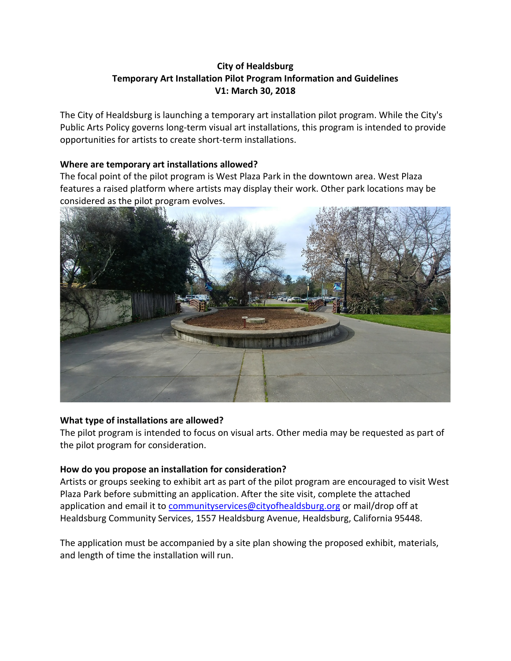# **City of Healdsburg Temporary Art Installation Pilot Program Information and Guidelines V1: March 30, 2018**

The City of Healdsburg is launching a temporary art installation pilot program. While the City's Public Arts Policy governs long-term visual art installations, this program is intended to provide opportunities for artists to create short-term installations.

# **Where are temporary art installations allowed?**

The focal point of the pilot program is West Plaza Park in the downtown area. West Plaza features a raised platform where artists may display their work. Other park locations may be considered as the pilot program evolves.



# **What type of installations are allowed?**

The pilot program is intended to focus on visual arts. Other media may be requested as part of the pilot program for consideration.

# **How do you propose an installation for consideration?**

Artists or groups seeking to exhibit art as part of the pilot program are encouraged to visit West Plaza Park before submitting an application. After the site visit, complete the attached application and email it to [communityservices@cityofhealdsburg.org](mailto:communityservices@cityofhealdsburg.org) or mail/drop off at Healdsburg Community Services, 1557 Healdsburg Avenue, Healdsburg, California 95448.

The application must be accompanied by a site plan showing the proposed exhibit, materials, and length of time the installation will run.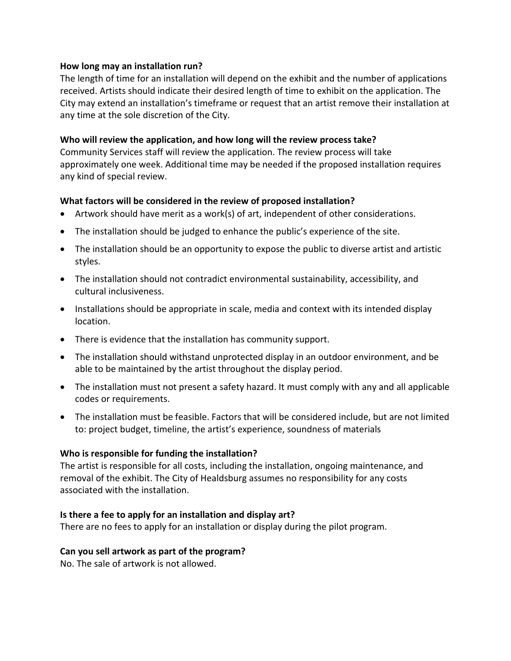### **How long may an installation run?**

The length of time for an installation will depend on the exhibit and the number of applications received. Artists should indicate their desired length of time to exhibit on the application. The City may extend an installation's timeframe or request that an artist remove their installation at any time at the sole discretion of the City.

# **Who will review the application, and how long will the review process take?**

Community Services staff will review the application. The review process will take approximately one week. Additional time may be needed if the proposed installation requires any kind of special review.

### **What factors will be considered in the review of proposed installation?**

- Artwork should have merit as a work(s) of art, independent of other considerations.
- The installation should be judged to enhance the public's experience of the site.
- The installation should be an opportunity to expose the public to diverse artist and artistic styles.
- The installation should not contradict environmental sustainability, accessibility, and cultural inclusiveness.
- Installations should be appropriate in scale, media and context with its intended display location.
- There is evidence that the installation has community support.
- The installation should withstand unprotected display in an outdoor environment, and be able to be maintained by the artist throughout the display period.
- The installation must not present a safety hazard. It must comply with any and all applicable codes or requirements.
- The installation must be feasible. Factors that will be considered include, but are not limited to: project budget, timeline, the artist's experience, soundness of materials

# **Who is responsible for funding the installation?**

The artist is responsible for all costs, including the installation, ongoing maintenance, and removal of the exhibit. The City of Healdsburg assumes no responsibility for any costs associated with the installation.

#### **Is there a fee to apply for an installation and display art?**

There are no fees to apply for an installation or display during the pilot program.

#### **Can you sell artwork as part of the program?**

No. The sale of artwork is not allowed.